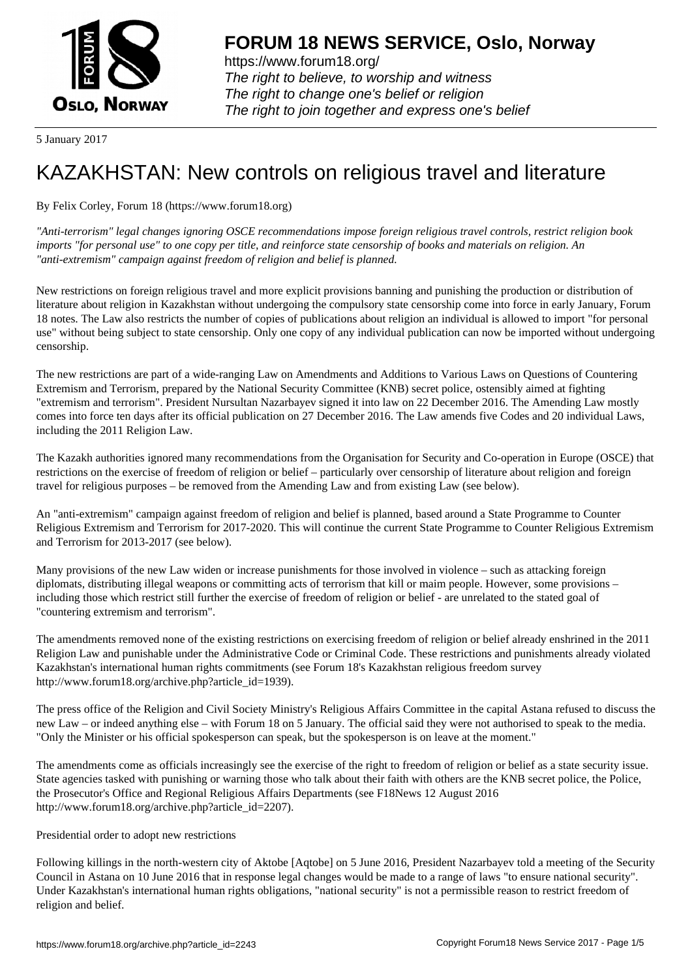

https://www.forum18.org/ The right to believe, to worship and witness The right to change one's belief or religion [The right to join together a](https://www.forum18.org/)nd express one's belief

5 January 2017

## [KAZAKHSTAN:](https://www.forum18.org) New controls on religious travel and literature

By Felix Corley, Forum 18 (https://www.forum18.org)

*"Anti-terrorism" legal changes ignoring OSCE recommendations impose foreign religious travel controls, restrict religion book imports "for personal use" to one copy per title, and reinforce state censorship of books and materials on religion. An "anti-extremism" campaign against freedom of religion and belief is planned.*

New restrictions on foreign religious travel and more explicit provisions banning and punishing the production or distribution of literature about religion in Kazakhstan without undergoing the compulsory state censorship come into force in early January, Forum 18 notes. The Law also restricts the number of copies of publications about religion an individual is allowed to import "for personal use" without being subject to state censorship. Only one copy of any individual publication can now be imported without undergoing censorship.

The new restrictions are part of a wide-ranging Law on Amendments and Additions to Various Laws on Questions of Countering Extremism and Terrorism, prepared by the National Security Committee (KNB) secret police, ostensibly aimed at fighting "extremism and terrorism". President Nursultan Nazarbayev signed it into law on 22 December 2016. The Amending Law mostly comes into force ten days after its official publication on 27 December 2016. The Law amends five Codes and 20 individual Laws, including the 2011 Religion Law.

The Kazakh authorities ignored many recommendations from the Organisation for Security and Co-operation in Europe (OSCE) that restrictions on the exercise of freedom of religion or belief – particularly over censorship of literature about religion and foreign travel for religious purposes – be removed from the Amending Law and from existing Law (see below).

An "anti-extremism" campaign against freedom of religion and belief is planned, based around a State Programme to Counter Religious Extremism and Terrorism for 2017-2020. This will continue the current State Programme to Counter Religious Extremism and Terrorism for 2013-2017 (see below).

Many provisions of the new Law widen or increase punishments for those involved in violence – such as attacking foreign diplomats, distributing illegal weapons or committing acts of terrorism that kill or maim people. However, some provisions – including those which restrict still further the exercise of freedom of religion or belief - are unrelated to the stated goal of "countering extremism and terrorism".

The amendments removed none of the existing restrictions on exercising freedom of religion or belief already enshrined in the 2011 Religion Law and punishable under the Administrative Code or Criminal Code. These restrictions and punishments already violated Kazakhstan's international human rights commitments (see Forum 18's Kazakhstan religious freedom survey http://www.forum18.org/archive.php?article\_id=1939).

The press office of the Religion and Civil Society Ministry's Religious Affairs Committee in the capital Astana refused to discuss the new Law – or indeed anything else – with Forum 18 on 5 January. The official said they were not authorised to speak to the media. "Only the Minister or his official spokesperson can speak, but the spokesperson is on leave at the moment."

The amendments come as officials increasingly see the exercise of the right to freedom of religion or belief as a state security issue. State agencies tasked with punishing or warning those who talk about their faith with others are the KNB secret police, the Police, the Prosecutor's Office and Regional Religious Affairs Departments (see F18News 12 August 2016 http://www.forum18.org/archive.php?article\_id=2207).

Presidential order to adopt new restrictions

Following killings in the north-western city of Aktobe [Aqtobe] on 5 June 2016, President Nazarbayev told a meeting of the Security Council in Astana on 10 June 2016 that in response legal changes would be made to a range of laws "to ensure national security". Under Kazakhstan's international human rights obligations, "national security" is not a permissible reason to restrict freedom of religion and belief.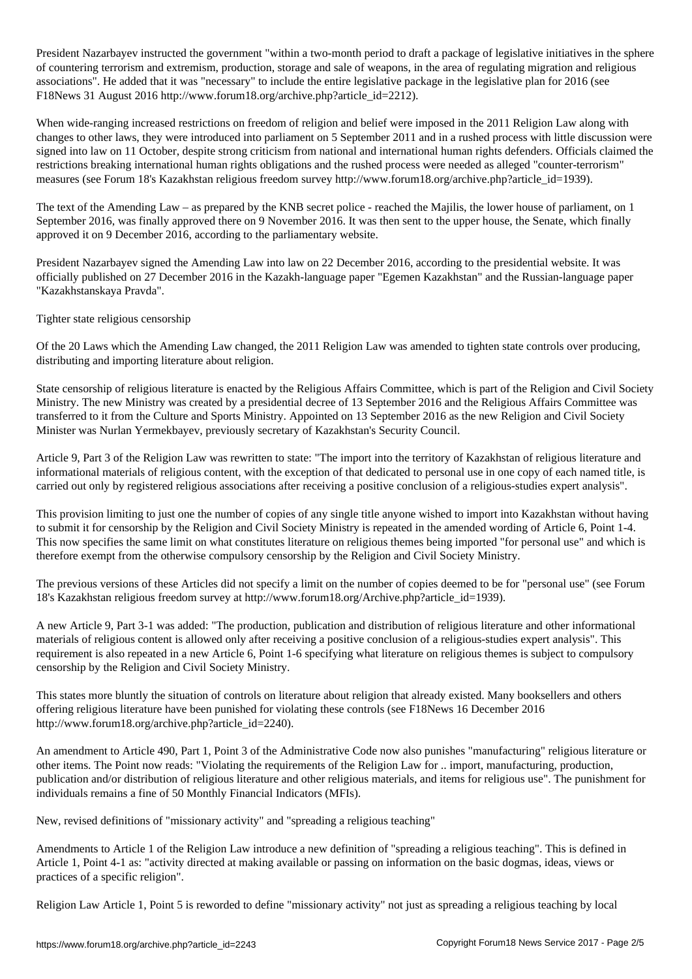President Nazarbayev instructed the government "within a two-month period to draft a package of legislative initiatives in the sphere of countering terrorism and extremism, production, storage and sale of weapons, in the area of regulating migration and religious associations". He added that it was "necessary" to include the entire legislative package in the legislative plan for 2016 (see F18News 31 August 2016 http://www.forum18.org/archive.php?article\_id=2212).

When wide-ranging increased restrictions on freedom of religion and belief were imposed in the 2011 Religion Law along with changes to other laws, they were introduced into parliament on 5 September 2011 and in a rushed process with little discussion were signed into law on 11 October, despite strong criticism from national and international human rights defenders. Officials claimed the restrictions breaking international human rights obligations and the rushed process were needed as alleged "counter-terrorism" measures (see Forum 18's Kazakhstan religious freedom survey http://www.forum18.org/archive.php?article\_id=1939).

The text of the Amending Law – as prepared by the KNB secret police - reached the Majilis, the lower house of parliament, on 1 September 2016, was finally approved there on 9 November 2016. It was then sent to the upper house, the Senate, which finally approved it on 9 December 2016, according to the parliamentary website.

President Nazarbayev signed the Amending Law into law on 22 December 2016, according to the presidential website. It was officially published on 27 December 2016 in the Kazakh-language paper "Egemen Kazakhstan" and the Russian-language paper "Kazakhstanskaya Pravda".

Tighter state religious censorship

Of the 20 Laws which the Amending Law changed, the 2011 Religion Law was amended to tighten state controls over producing, distributing and importing literature about religion.

State censorship of religious literature is enacted by the Religious Affairs Committee, which is part of the Religion and Civil Society Ministry. The new Ministry was created by a presidential decree of 13 September 2016 and the Religious Affairs Committee was transferred to it from the Culture and Sports Ministry. Appointed on 13 September 2016 as the new Religion and Civil Society Minister was Nurlan Yermekbayev, previously secretary of Kazakhstan's Security Council.

Article 9, Part 3 of the Religion Law was rewritten to state: "The import into the territory of Kazakhstan of religious literature and informational materials of religious content, with the exception of that dedicated to personal use in one copy of each named title, is carried out only by registered religious associations after receiving a positive conclusion of a religious-studies expert analysis".

This provision limiting to just one the number of copies of any single title anyone wished to import into Kazakhstan without having to submit it for censorship by the Religion and Civil Society Ministry is repeated in the amended wording of Article 6, Point 1-4. This now specifies the same limit on what constitutes literature on religious themes being imported "for personal use" and which is therefore exempt from the otherwise compulsory censorship by the Religion and Civil Society Ministry.

The previous versions of these Articles did not specify a limit on the number of copies deemed to be for "personal use" (see Forum 18's Kazakhstan religious freedom survey at http://www.forum18.org/Archive.php?article\_id=1939).

A new Article 9, Part 3-1 was added: "The production, publication and distribution of religious literature and other informational materials of religious content is allowed only after receiving a positive conclusion of a religious-studies expert analysis". This requirement is also repeated in a new Article 6, Point 1-6 specifying what literature on religious themes is subject to compulsory censorship by the Religion and Civil Society Ministry.

This states more bluntly the situation of controls on literature about religion that already existed. Many booksellers and others offering religious literature have been punished for violating these controls (see F18News 16 December 2016 http://www.forum18.org/archive.php?article\_id=2240).

An amendment to Article 490, Part 1, Point 3 of the Administrative Code now also punishes "manufacturing" religious literature or other items. The Point now reads: "Violating the requirements of the Religion Law for .. import, manufacturing, production, publication and/or distribution of religious literature and other religious materials, and items for religious use". The punishment for individuals remains a fine of 50 Monthly Financial Indicators (MFIs).

New, revised definitions of "missionary activity" and "spreading a religious teaching"

Amendments to Article 1 of the Religion Law introduce a new definition of "spreading a religious teaching". This is defined in Article 1, Point 4-1 as: "activity directed at making available or passing on information on the basic dogmas, ideas, views or practices of a specific religion".

Religion Law Article 1, Point 5 is reworded to define "missionary activity" not just as spreading a religious teaching by local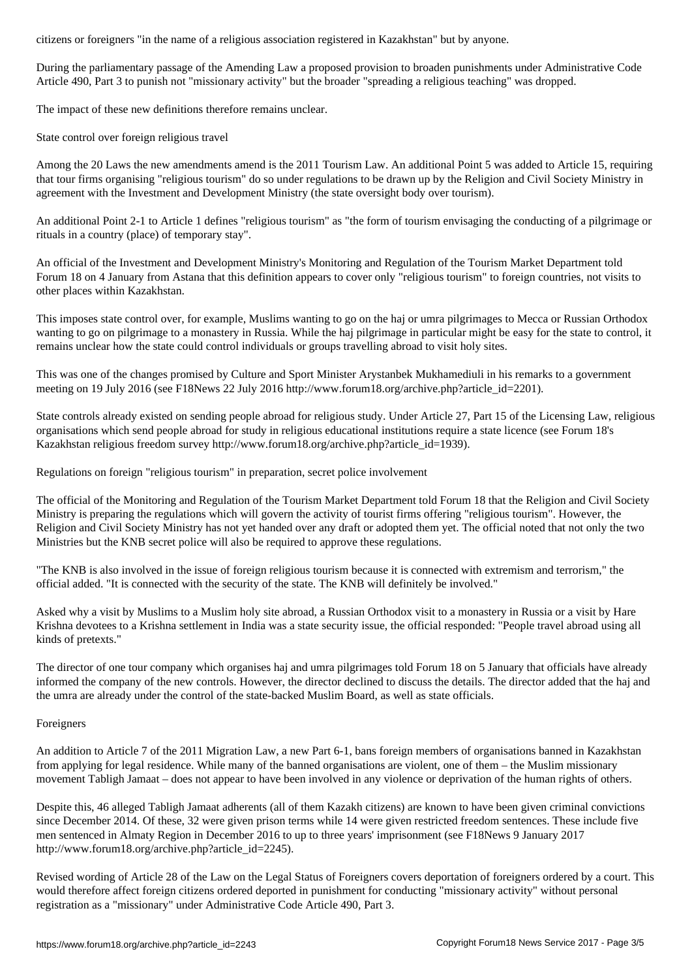During the parliamentary passage of the Amending Law a proposed provision to broaden punishments under Administrative Code Article 490, Part 3 to punish not "missionary activity" but the broader "spreading a religious teaching" was dropped.

The impact of these new definitions therefore remains unclear.

State control over foreign religious travel

Among the 20 Laws the new amendments amend is the 2011 Tourism Law. An additional Point 5 was added to Article 15, requiring that tour firms organising "religious tourism" do so under regulations to be drawn up by the Religion and Civil Society Ministry in agreement with the Investment and Development Ministry (the state oversight body over tourism).

An additional Point 2-1 to Article 1 defines "religious tourism" as "the form of tourism envisaging the conducting of a pilgrimage or rituals in a country (place) of temporary stay".

An official of the Investment and Development Ministry's Monitoring and Regulation of the Tourism Market Department told Forum 18 on 4 January from Astana that this definition appears to cover only "religious tourism" to foreign countries, not visits to other places within Kazakhstan.

This imposes state control over, for example, Muslims wanting to go on the haj or umra pilgrimages to Mecca or Russian Orthodox wanting to go on pilgrimage to a monastery in Russia. While the haj pilgrimage in particular might be easy for the state to control, it remains unclear how the state could control individuals or groups travelling abroad to visit holy sites.

This was one of the changes promised by Culture and Sport Minister Arystanbek Mukhamediuli in his remarks to a government meeting on 19 July 2016 (see F18News 22 July 2016 http://www.forum18.org/archive.php?article\_id=2201).

State controls already existed on sending people abroad for religious study. Under Article 27, Part 15 of the Licensing Law, religious organisations which send people abroad for study in religious educational institutions require a state licence (see Forum 18's Kazakhstan religious freedom survey http://www.forum18.org/archive.php?article\_id=1939).

Regulations on foreign "religious tourism" in preparation, secret police involvement

The official of the Monitoring and Regulation of the Tourism Market Department told Forum 18 that the Religion and Civil Society Ministry is preparing the regulations which will govern the activity of tourist firms offering "religious tourism". However, the Religion and Civil Society Ministry has not yet handed over any draft or adopted them yet. The official noted that not only the two Ministries but the KNB secret police will also be required to approve these regulations.

"The KNB is also involved in the issue of foreign religious tourism because it is connected with extremism and terrorism," the official added. "It is connected with the security of the state. The KNB will definitely be involved."

Asked why a visit by Muslims to a Muslim holy site abroad, a Russian Orthodox visit to a monastery in Russia or a visit by Hare Krishna devotees to a Krishna settlement in India was a state security issue, the official responded: "People travel abroad using all kinds of pretexts."

The director of one tour company which organises haj and umra pilgrimages told Forum 18 on 5 January that officials have already informed the company of the new controls. However, the director declined to discuss the details. The director added that the haj and the umra are already under the control of the state-backed Muslim Board, as well as state officials.

## Foreigners

An addition to Article 7 of the 2011 Migration Law, a new Part 6-1, bans foreign members of organisations banned in Kazakhstan from applying for legal residence. While many of the banned organisations are violent, one of them – the Muslim missionary movement Tabligh Jamaat – does not appear to have been involved in any violence or deprivation of the human rights of others.

Despite this, 46 alleged Tabligh Jamaat adherents (all of them Kazakh citizens) are known to have been given criminal convictions since December 2014. Of these, 32 were given prison terms while 14 were given restricted freedom sentences. These include five men sentenced in Almaty Region in December 2016 to up to three years' imprisonment (see F18News 9 January 2017 http://www.forum18.org/archive.php?article\_id=2245).

Revised wording of Article 28 of the Law on the Legal Status of Foreigners covers deportation of foreigners ordered by a court. This would therefore affect foreign citizens ordered deported in punishment for conducting "missionary activity" without personal registration as a "missionary" under Administrative Code Article 490, Part 3.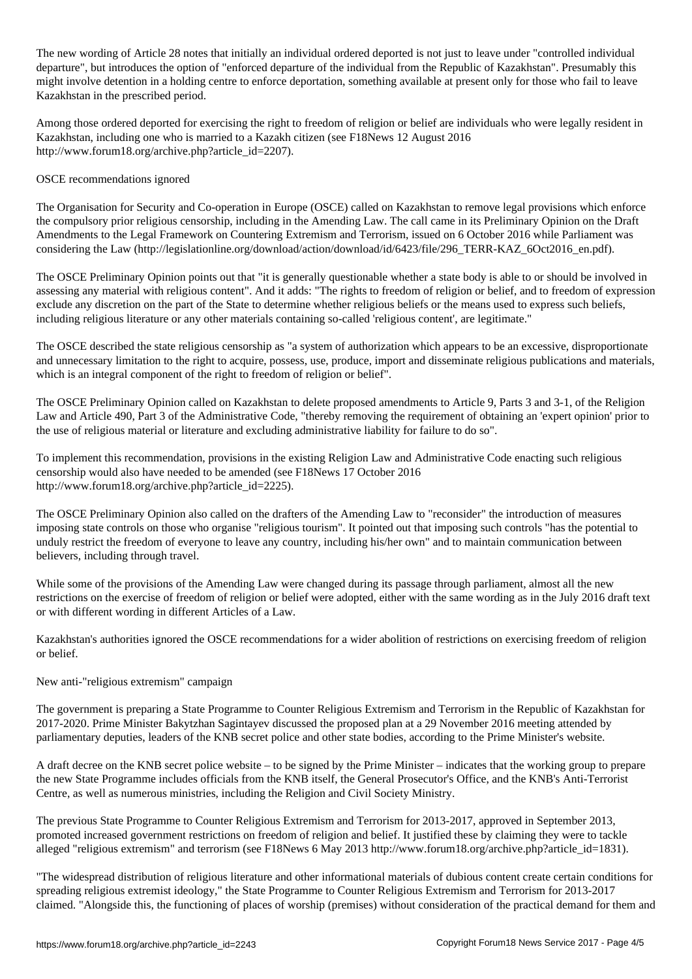The new wording of  $\mathcal{A}$  not individual ordered is not just to leave under the  $\mathcal{A}$ departure", but introduces the option of "enforced departure of the individual from the Republic of Kazakhstan". Presumably this might involve detention in a holding centre to enforce deportation, something available at present only for those who fail to leave Kazakhstan in the prescribed period.

Among those ordered deported for exercising the right to freedom of religion or belief are individuals who were legally resident in Kazakhstan, including one who is married to a Kazakh citizen (see F18News 12 August 2016 http://www.forum18.org/archive.php?article\_id=2207).

## OSCE recommendations ignored

The Organisation for Security and Co-operation in Europe (OSCE) called on Kazakhstan to remove legal provisions which enforce the compulsory prior religious censorship, including in the Amending Law. The call came in its Preliminary Opinion on the Draft Amendments to the Legal Framework on Countering Extremism and Terrorism, issued on 6 October 2016 while Parliament was considering the Law (http://legislationline.org/download/action/download/id/6423/file/296\_TERR-KAZ\_6Oct2016\_en.pdf).

The OSCE Preliminary Opinion points out that "it is generally questionable whether a state body is able to or should be involved in assessing any material with religious content". And it adds: "The rights to freedom of religion or belief, and to freedom of expression exclude any discretion on the part of the State to determine whether religious beliefs or the means used to express such beliefs, including religious literature or any other materials containing so-called 'religious content', are legitimate."

The OSCE described the state religious censorship as "a system of authorization which appears to be an excessive, disproportionate and unnecessary limitation to the right to acquire, possess, use, produce, import and disseminate religious publications and materials, which is an integral component of the right to freedom of religion or belief".

The OSCE Preliminary Opinion called on Kazakhstan to delete proposed amendments to Article 9, Parts 3 and 3-1, of the Religion Law and Article 490, Part 3 of the Administrative Code, "thereby removing the requirement of obtaining an 'expert opinion' prior to the use of religious material or literature and excluding administrative liability for failure to do so".

To implement this recommendation, provisions in the existing Religion Law and Administrative Code enacting such religious censorship would also have needed to be amended (see F18News 17 October 2016 http://www.forum18.org/archive.php?article\_id=2225).

The OSCE Preliminary Opinion also called on the drafters of the Amending Law to "reconsider" the introduction of measures imposing state controls on those who organise "religious tourism". It pointed out that imposing such controls "has the potential to unduly restrict the freedom of everyone to leave any country, including his/her own" and to maintain communication between believers, including through travel.

While some of the provisions of the Amending Law were changed during its passage through parliament, almost all the new restrictions on the exercise of freedom of religion or belief were adopted, either with the same wording as in the July 2016 draft text or with different wording in different Articles of a Law.

Kazakhstan's authorities ignored the OSCE recommendations for a wider abolition of restrictions on exercising freedom of religion or belief.

New anti-"religious extremism" campaign

The government is preparing a State Programme to Counter Religious Extremism and Terrorism in the Republic of Kazakhstan for 2017-2020. Prime Minister Bakytzhan Sagintayev discussed the proposed plan at a 29 November 2016 meeting attended by parliamentary deputies, leaders of the KNB secret police and other state bodies, according to the Prime Minister's website.

A draft decree on the KNB secret police website – to be signed by the Prime Minister – indicates that the working group to prepare the new State Programme includes officials from the KNB itself, the General Prosecutor's Office, and the KNB's Anti-Terrorist Centre, as well as numerous ministries, including the Religion and Civil Society Ministry.

The previous State Programme to Counter Religious Extremism and Terrorism for 2013-2017, approved in September 2013, promoted increased government restrictions on freedom of religion and belief. It justified these by claiming they were to tackle alleged "religious extremism" and terrorism (see F18News 6 May 2013 http://www.forum18.org/archive.php?article\_id=1831).

"The widespread distribution of religious literature and other informational materials of dubious content create certain conditions for spreading religious extremist ideology," the State Programme to Counter Religious Extremism and Terrorism for 2013-2017 claimed. "Alongside this, the functioning of places of worship (premises) without consideration of the practical demand for them and